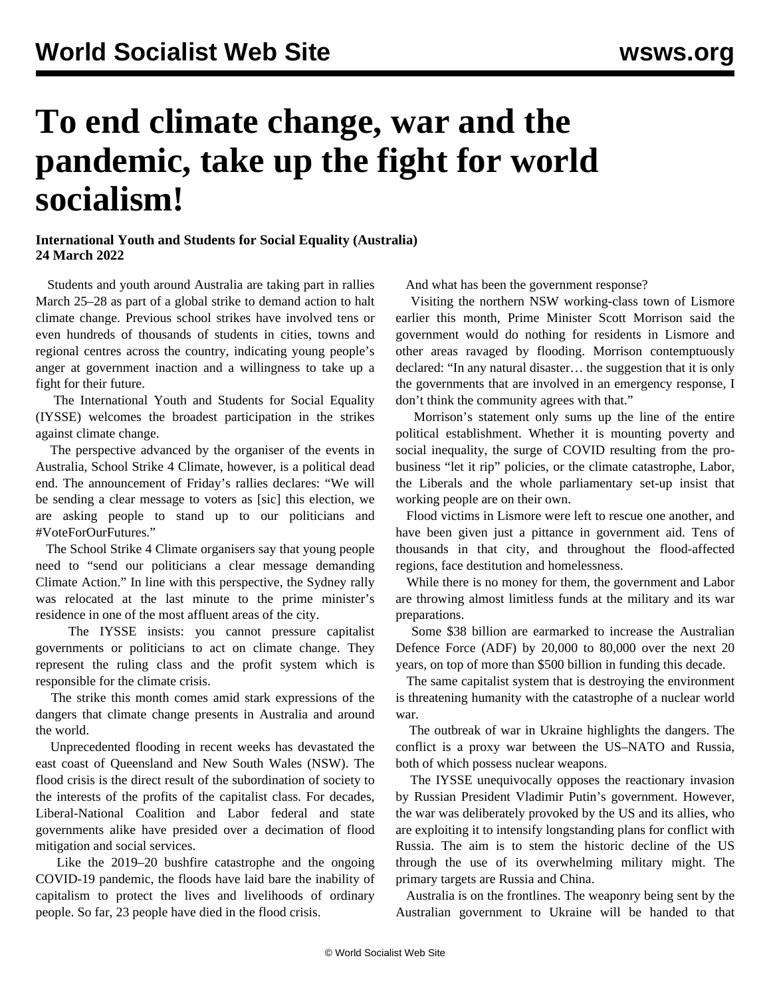## **To end climate change, war and the pandemic, take up the fight for world socialism!**

## **International Youth and Students for Social Equality (Australia) 24 March 2022**

 Students and youth around Australia are taking part in rallies March 25–28 as part of a global strike to demand action to halt climate change. Previous school strikes have involved tens or even hundreds of thousands of students in cities, towns and regional centres across the country, indicating young people's anger at government inaction and a willingness to take up a fight for their future.

 The International Youth and Students for Social Equality (IYSSE) welcomes the broadest participation in the strikes against climate change.

 The perspective advanced by the organiser of the events in Australia, School Strike 4 Climate, however, is a political dead end. The announcement of Friday's rallies declares: "We will be sending a clear message to voters as [sic] this election, we are asking people to stand up to our politicians and #VoteForOurFutures."

 The School Strike 4 Climate organisers say that young people need to "send our politicians a clear message demanding Climate Action." In line with this perspective, the Sydney rally was relocated at the last minute to the prime minister's residence in one of the most affluent areas of the city.

 The IYSSE insists: you cannot pressure capitalist governments or politicians to act on climate change. They represent the ruling class and the profit system which is responsible for the climate crisis.

 The strike this month comes amid stark expressions of the dangers that climate change presents in Australia and around the world.

 Unprecedented flooding in recent weeks has devastated the east coast of Queensland and New South Wales (NSW). The flood crisis is the direct result of the subordination of society to the interests of the profits of the capitalist class. For decades, Liberal-National Coalition and Labor federal and state governments alike have presided over a decimation of flood mitigation and social services.

 Like the 2019–20 bushfire catastrophe and the ongoing COVID-19 pandemic, the floods have laid bare the inability of capitalism to protect the lives and livelihoods of ordinary people. So far, 23 people have died in the flood crisis.

And what has been the government response?

 Visiting the northern NSW working-class town of Lismore earlier this month, Prime Minister Scott Morrison said the government would do nothing for residents in Lismore and other areas ravaged by flooding. Morrison contemptuously declared: "In any natural disaster… the suggestion that it is only the governments that are involved in an emergency response, I don't think the community agrees with that."

 Morrison's statement only sums up the line of the entire political establishment. Whether it is mounting poverty and social inequality, the surge of COVID resulting from the probusiness "let it rip" policies, or the climate catastrophe, Labor, the Liberals and the whole parliamentary set-up insist that working people are on their own.

 Flood victims in Lismore were left to rescue one another, and have been given just a pittance in government aid. Tens of thousands in that city, and throughout the flood-affected regions, face destitution and homelessness.

 While there is no money for them, the government and Labor are throwing almost limitless funds at the military and its war preparations.

 Some \$38 billion are earmarked to increase the Australian Defence Force (ADF) by 20,000 to 80,000 over the next 20 years, on top of more than \$500 billion in funding this decade.

 The same capitalist system that is destroying the environment is threatening humanity with the catastrophe of a nuclear world war.

 The outbreak of war in Ukraine highlights the dangers. The conflict is a proxy war between the US–NATO and Russia, both of which possess nuclear weapons.

 The IYSSE unequivocally opposes the reactionary invasion by Russian President Vladimir Putin's government. However, the war was deliberately provoked by the US and its allies, who are exploiting it to intensify longstanding plans for conflict with Russia. The aim is to stem the historic decline of the US through the use of its overwhelming military might. The primary targets are Russia and China.

 Australia is on the frontlines. The weaponry being sent by the Australian government to Ukraine will be handed to that